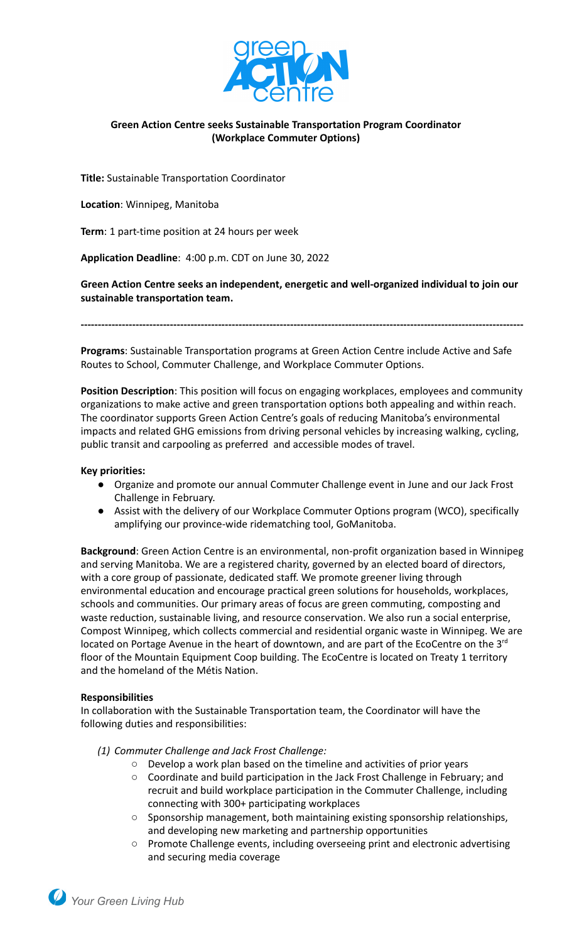

# **Green Action Centre seeks Sustainable Transportation Program Coordinator (Workplace Commuter Options)**

**Title:** Sustainable Transportation Coordinator

**Location**: Winnipeg, Manitoba

**Term**: 1 part-time position at 24 hours per week

**Application Deadline**: 4:00 p.m. CDT on June 30, 2022

**Green Action Centre seeks an independent, energetic and well-organized individual to join our sustainable transportation team.**

**---------------------------------------------------------------------------------------------------------------------------------**

**Programs**: Sustainable Transportation programs at Green Action Centre include Active and Safe Routes to School, Commuter Challenge, and Workplace Commuter Options.

**Position Description**: This position will focus on engaging workplaces, employees and community organizations to make active and green transportation options both appealing and within reach. The coordinator supports Green Action Centre's goals of reducing Manitoba's environmental impacts and related GHG emissions from driving personal vehicles by increasing walking, cycling, public transit and carpooling as preferred and accessible modes of travel.

### **Key priorities:**

- Organize and promote our annual Commuter Challenge event in June and our Jack Frost Challenge in February.
- Assist with the delivery of our Workplace Commuter Options program (WCO), specifically amplifying our province-wide ridematching tool, GoManitoba.

**Background**: Green Action Centre is an environmental, non-profit organization based in Winnipeg and serving Manitoba. We are a registered charity, governed by an elected board of directors, with a core group of passionate, dedicated staff. We promote greener living through environmental education and encourage practical green solutions for [households](http://greenactioncentre.ca/live/at-home/), [workplaces](http://greenactioncentre.ca/live/at-work/), [schools](http://greenactioncentre.ca/live/at-school/) and [communities.](http://greenactioncentre.ca/live/in-your-community/) Our primary areas of focus are [green commuting](http://greenactioncentre.ca/live/getting-around/), [composting](http://greenactioncentre.ca/live/composting/) and [waste](http://greenactioncentre.ca/live/recycling/) reduction, [sustainable living,](http://greenactioncentre.ca/blog/) and resource conservation. We also run a social enterprise, Compost Winnipeg, which collects commercial and residential organic waste in Winnipeg. We are located on Portage Avenue in the heart of downtown, and are part of the EcoCentre on the 3<sup>rd</sup> floor of the Mountain Equipment Coop building. The EcoCentre is located on Treaty 1 territory and the homeland of the Métis Nation.

#### **Responsibilities**

In collaboration with the Sustainable Transportation team, the Coordinator will have the following duties and responsibilities:

*(1) Commuter Challenge and Jack Frost Challenge:*

- Develop a work plan based on the timeline and activities of prior years
- Coordinate and build participation in the Jack Frost Challenge in February; and recruit and build workplace participation in the Commuter Challenge, including connecting with 300+ participating workplaces
- Sponsorship management, both maintaining existing sponsorship relationships, and developing new marketing and partnership opportunities
- Promote Challenge events, including overseeing print and electronic advertising and securing media coverage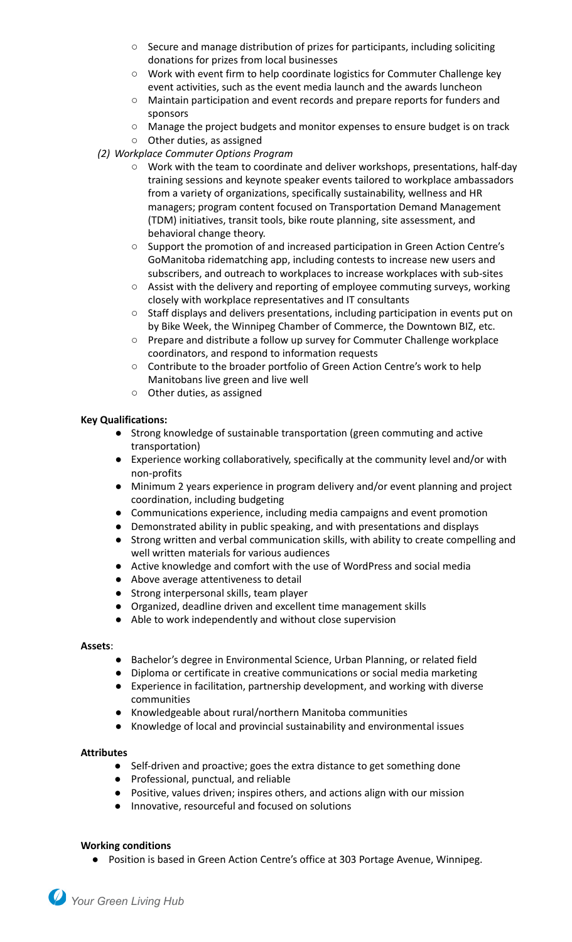- $\circ$  Secure and manage distribution of prizes for participants, including soliciting donations for prizes from local businesses
- Work with event firm to help coordinate logistics for Commuter Challenge key event activities, such as the event media launch and the awards luncheon
- Maintain participation and event records and prepare reports for funders and sponsors
- Manage the project budgets and monitor expenses to ensure budget is on track
- Other duties, as assigned
- *(2) Workplace Commuter Options Program*
	- Work with the team to coordinate and deliver workshops, presentations, half-day training sessions and keynote speaker events tailored to workplace ambassadors from a variety of organizations, specifically sustainability, wellness and HR managers; program content focused on Transportation Demand Management (TDM) initiatives, transit tools, bike route planning, site assessment, and behavioral change theory.
	- Support the promotion of and increased participation in Green Action Centre's GoManitoba ridematching app, including contests to increase new users and subscribers, and outreach to workplaces to increase workplaces with sub-sites
	- Assist with the delivery and reporting of employee commuting surveys, working closely with workplace representatives and IT consultants
	- Staff displays and delivers presentations, including participation in events put on by Bike Week, the Winnipeg Chamber of Commerce, the Downtown BIZ, etc.
	- Prepare and distribute a follow up survey for Commuter Challenge workplace coordinators, and respond to information requests
	- Contribute to the broader portfolio of Green Action Centre's work to help Manitobans live green and live well
	- Other duties, as assigned

# **Key Qualifications:**

- Strong knowledge of sustainable transportation (green commuting and active transportation)
- Experience working collaboratively, specifically at the community level and/or with non-profits
- Minimum 2 years experience in program delivery and/or event planning and project coordination, including budgeting
- Communications experience, including media campaigns and event promotion
- Demonstrated ability in public speaking, and with presentations and displays
- Strong written and verbal communication skills, with ability to create compelling and well written materials for various audiences
- Active knowledge and comfort with the use of WordPress and social media
- Above average attentiveness to detail
- Strong interpersonal skills, team player
- Organized, deadline driven and excellent time management skills
- Able to work independently and without close supervision

#### **Assets**:

- Bachelor's degree in Environmental Science, Urban Planning, or related field
- Diploma or certificate in creative communications or social media marketing
- Experience in facilitation, partnership development, and working with diverse communities
- Knowledgeable about rural/northern Manitoba communities
- Knowledge of local and provincial sustainability and environmental issues

#### **Attributes**

- Self-driven and proactive; goes the extra distance to get something done
- Professional, punctual, and reliable
- Positive, values driven; inspires others, and actions align with our mission
- Innovative, resourceful and focused on solutions

#### **Working conditions**

● Position is based in Green Action Centre's office at 303 Portage Avenue, Winnipeg.